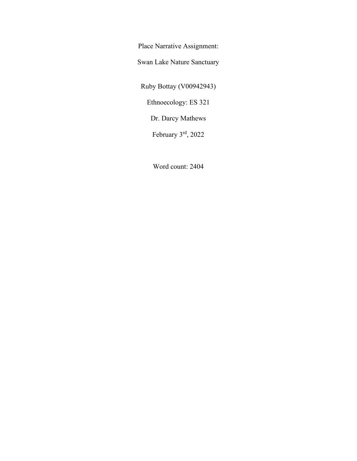Place Narrative Assignment:

Swan Lake Nature Sanctuary

Ruby Bottay (V00942943)

Ethnoecology: ES 321

Dr. Darcy Mathews

February 3rd, 2022

Word count: 2404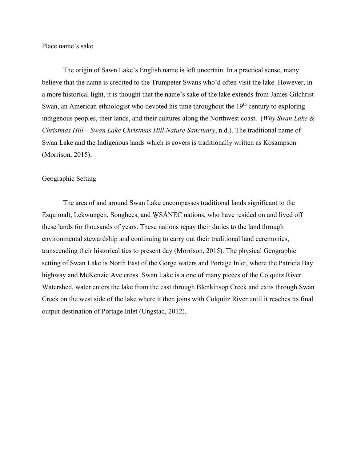Place name's sake

The origin of Sawn Lake's English name is left uncertain. In a practical sense, many believe that the name is credited to the Trumpeter Swans who'd often visit the lake. However, in a more historical light, it is thought that the name's sake of the lake extends from James Gilchrist Swan, an American ethnologist who devoted his time throughout the  $19<sup>th</sup>$  century to exploring indigenous peoples, their lands, and their cultures along the Northwest coast. (*Why Swan Lake & Christmas Hill – Swan Lake Christmas Hill Nature Sanctuary*, n.d.). The traditional name of Swan Lake and the Indigenous lands which is covers is traditionally written as Kosampson (Morrison, 2015).

## Geographic Setting

The area of and around Swan Lake encompasses traditional lands significant to the Esquimalt, Lekwungen, Songhees, and WSÁNEĆ nations, who have resided on and lived off these lands for thousands of years. These nations repay their duties to the land through environmental stewardship and continuing to carry out their traditional land ceremonies, transcending their historical ties to present day (Morrison, 2015). The physical Geographic setting of Swan Lake is North East of the Gorge waters and Portage Inlet, where the Patricia Bay highway and McKenzie Ave cross. Swan Lake is a one of many pieces of the Colquitz River Watershed, water enters the lake from the east through Blenkinsop Creek and exits through Swan Creek on the west side of the lake where it then joins with Colquitz River until it reaches its final output destination of Portage Inlet (Ungstad, 2012).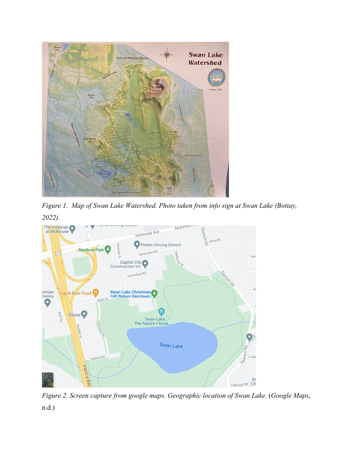

*Figure 1. Map of Swan Lake Watershed. Photo taken from info sign at Swan Lake (Bottay, 2022).* 



*Figure 2. Screen capture from google maps. Geographic location of Swan Lake.* (*Google Maps*, n.d.)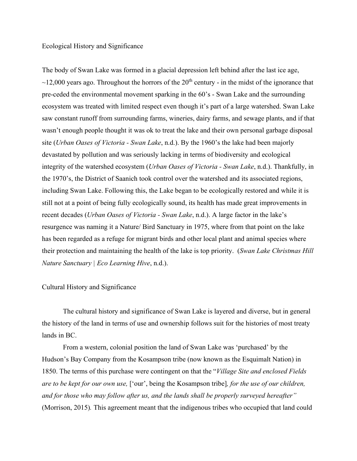## Ecological History and Significance

The body of Swan Lake was formed in a glacial depression left behind after the last ice age,  $\sim$ 12,000 years ago. Throughout the horrors of the 20<sup>th</sup> century - in the midst of the ignorance that pre-ceded the environmental movement sparking in the 60's - Swan Lake and the surrounding ecosystem was treated with limited respect even though it's part of a large watershed. Swan Lake saw constant runoff from surrounding farms, wineries, dairy farms, and sewage plants, and if that wasn't enough people thought it was ok to treat the lake and their own personal garbage disposal site (*Urban Oases of Victoria - Swan Lake*, n.d.). By the 1960's the lake had been majorly devastated by pollution and was seriously lacking in terms of biodiversity and ecological integrity of the watershed ecosystem (*Urban Oases of Victoria - Swan Lake*, n.d.). Thankfully, in the 1970's, the District of Saanich took control over the watershed and its associated regions, including Swan Lake. Following this, the Lake began to be ecologically restored and while it is still not at a point of being fully ecologically sound, its health has made great improvements in recent decades (*Urban Oases of Victoria - Swan Lake*, n.d.). A large factor in the lake's resurgence was naming it a Nature/ Bird Sanctuary in 1975, where from that point on the lake has been regarded as a refuge for migrant birds and other local plant and animal species where their protection and maintaining the health of the lake is top priority. (*Swan Lake Christmas Hill Nature Sanctuary | Eco Learning Hive*, n.d.).

#### Cultural History and Significance

The cultural history and significance of Swan Lake is layered and diverse, but in general the history of the land in terms of use and ownership follows suit for the histories of most treaty lands in BC.

From a western, colonial position the land of Swan Lake was 'purchased' by the Hudson's Bay Company from the Kosampson tribe (now known as the Esquimalt Nation) in 1850. The terms of this purchase were contingent on that the "*Village Site and enclosed Fields are to be kept for our own use,* ['our', being the Kosampson tribe]*, for the use of our children, and for those who may follow after us, and the lands shall be properly surveyed hereafter"*  (Morrison, 2015)*.* This agreement meant that the indigenous tribes who occupied that land could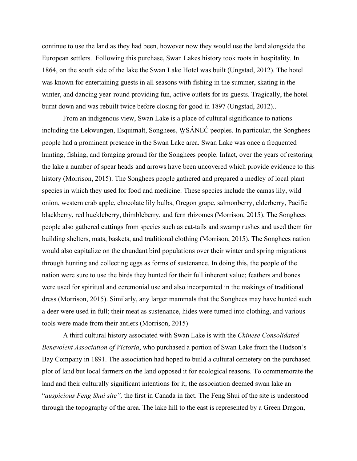continue to use the land as they had been, however now they would use the land alongside the European settlers. Following this purchase, Swan Lakes history took roots in hospitality. In 1864, on the south side of the lake the Swan Lake Hotel was built (Ungstad, 2012). The hotel was known for entertaining guests in all seasons with fishing in the summer, skating in the winter, and dancing year-round providing fun, active outlets for its guests. Tragically, the hotel burnt down and was rebuilt twice before closing for good in 1897 (Ungstad, 2012)..

From an indigenous view, Swan Lake is a place of cultural significance to nations including the Lekwungen, Esquimalt, Songhees, WSÁNEĆ peoples. In particular, the Songhees people had a prominent presence in the Swan Lake area. Swan Lake was once a frequented hunting, fishing, and foraging ground for the Songhees people. Infact, over the years of restoring the lake a number of spear heads and arrows have been uncovered which provide evidence to this history (Morrison, 2015). The Songhees people gathered and prepared a medley of local plant species in which they used for food and medicine. These species include the camas lily, wild onion, western crab apple, chocolate lily bulbs, Oregon grape, salmonberry, elderberry, Pacific blackberry, red huckleberry, thimbleberry, and fern rhizomes (Morrison, 2015). The Songhees people also gathered cuttings from species such as cat-tails and swamp rushes and used them for building shelters, mats, baskets, and traditional clothing (Morrison, 2015). The Songhees nation would also capitalize on the abundant bird populations over their winter and spring migrations through hunting and collecting eggs as forms of sustenance. In doing this, the people of the nation were sure to use the birds they hunted for their full inherent value; feathers and bones were used for spiritual and ceremonial use and also incorporated in the makings of traditional dress (Morrison, 2015). Similarly, any larger mammals that the Songhees may have hunted such a deer were used in full; their meat as sustenance, hides were turned into clothing, and various tools were made from their antlers (Morrison, 2015)

A third cultural history associated with Swan Lake is with the *Chinese Consolidated Benevolent Association of Victoria*, who purchased a portion of Swan Lake from the Hudson's Bay Company in 1891. The association had hoped to build a cultural cemetery on the purchased plot of land but local farmers on the land opposed it for ecological reasons. To commemorate the land and their culturally significant intentions for it, the association deemed swan lake an "*auspicious Feng Shui site",* the first in Canada in fact. The Feng Shui of the site is understood through the topography of the area. The lake hill to the east is represented by a Green Dragon,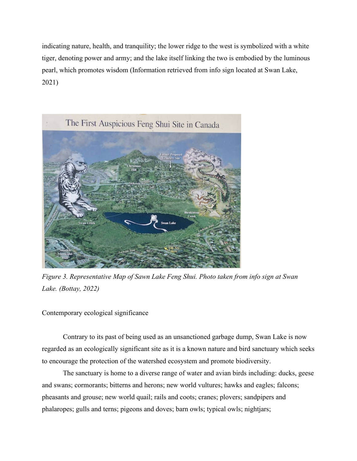indicating nature, health, and tranquility; the lower ridge to the west is symbolized with a white tiger, denoting power and army; and the lake itself linking the two is embodied by the luminous pearl, which promotes wisdom (Information retrieved from info sign located at Swan Lake, 2021)



*Figure 3. Representative Map of Sawn Lake Feng Shui. Photo taken from info sign at Swan Lake. (Bottay, 2022)* 

Contemporary ecological significance

Contrary to its past of being used as an unsanctioned garbage dump, Swan Lake is now regarded as an ecologically significant site as it is a known nature and bird sanctuary which seeks to encourage the protection of the watershed ecosystem and promote biodiversity.

The sanctuary is home to a diverse range of water and avian birds including: ducks, geese and swans; cormorants; bitterns and herons; new world vultures; hawks and eagles; falcons; pheasants and grouse; new world quail; rails and coots; cranes; plovers; sandpipers and phalaropes; gulls and terns; pigeons and doves; barn owls; typical owls; nightjars;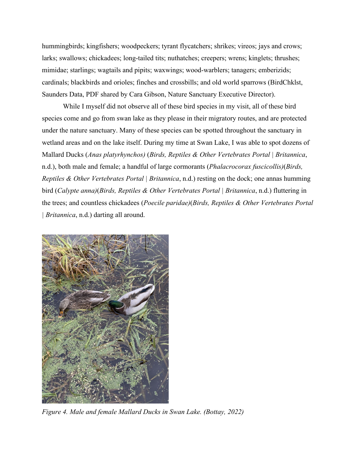hummingbirds; kingfishers; woodpeckers; tyrant flycatchers; shrikes; vireos; jays and crows; larks; swallows; chickadees; long-tailed tits; nuthatches; creepers; wrens; kinglets; thrushes; mimidae; starlings; wagtails and pipits; waxwings; wood-warblers; tanagers; emberizids; cardinals; blackbirds and orioles; finches and crossbills; and old world sparrows (BirdChklst, Saunders Data, PDF shared by Cara Gibson, Nature Sanctuary Executive Director).

While I myself did not observe all of these bird species in my visit, all of these bird species come and go from swan lake as they please in their migratory routes, and are protected under the nature sanctuary. Many of these species can be spotted throughout the sanctuary in wetland areas and on the lake itself. During my time at Swan Lake, I was able to spot dozens of Mallard Ducks (*Anas platyrhynchos)* (*Birds, Reptiles & Other Vertebrates Portal | Britannica*, n.d.), both male and female; a handful of large cormorants (*Phalacrocorax fuscicollis)*(*Birds, Reptiles & Other Vertebrates Portal | Britannica*, n.d.) resting on the dock; one annas humming bird (*Calypte anna)*(*Birds, Reptiles & Other Vertebrates Portal | Britannica*, n.d.) fluttering in the trees; and countless chickadees (*Poecile paridae)*(*Birds, Reptiles & Other Vertebrates Portal | Britannica*, n.d.) darting all around.



*Figure 4. Male and female Mallard Ducks in Swan Lake. (Bottay, 2022)*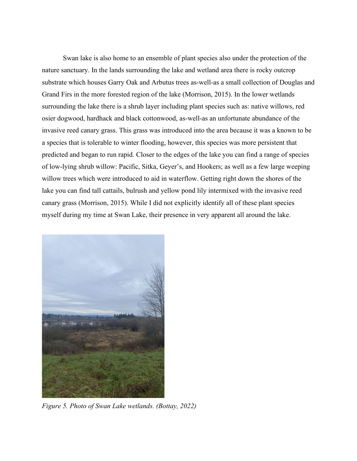Swan lake is also home to an ensemble of plant species also under the protection of the nature sanctuary. In the lands surrounding the lake and wetland area there is rocky outcrop substrate which houses Garry Oak and Arbutus trees as-well-as a small collection of Douglas and Grand Firs in the more forested region of the lake (Morrison, 2015). In the lower wetlands surrounding the lake there is a shrub layer including plant species such as: native willows, red osier dogwood, hardhack and black cottonwood, as-well-as an unfortunate abundance of the invasive reed canary grass. This grass was introduced into the area because it was a known to be a species that is tolerable to winter flooding, however, this species was more persistent that predicted and began to run rapid. Closer to the edges of the lake you can find a range of species of low-lying shrub willow: Pacific, Sitka, Geyer's, and Hookers; as well as a few large weeping willow trees which were introduced to aid in waterflow. Getting right down the shores of the lake you can find tall cattails, bulrush and yellow pond lily intermixed with the invasive reed canary grass (Morrison, 2015). While I did not explicitly identify all of these plant species myself during my time at Swan Lake, their presence in very apparent all around the lake.



*Figure 5. Photo of Swan Lake wetlands. (Bottay, 2022)*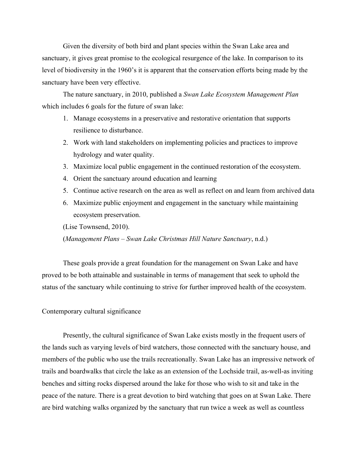Given the diversity of both bird and plant species within the Swan Lake area and sanctuary, it gives great promise to the ecological resurgence of the lake. In comparison to its level of biodiversity in the 1960's it is apparent that the conservation efforts being made by the sanctuary have been very effective.

The nature sanctuary, in 2010, published a *Swan Lake Ecosystem Management Plan* which includes 6 goals for the future of swan lake:

- 1. Manage ecosystems in a preservative and restorative orientation that supports resilience to disturbance.
- 2. Work with land stakeholders on implementing policies and practices to improve hydrology and water quality.
- 3. Maximize local public engagement in the continued restoration of the ecosystem.
- 4. Orient the sanctuary around education and learning
- 5. Continue active research on the area as well as reflect on and learn from archived data
- 6. Maximize public enjoyment and engagement in the sanctuary while maintaining ecosystem preservation.

(Lise Townsend, 2010).

(*Management Plans – Swan Lake Christmas Hill Nature Sanctuary*, n.d.)

These goals provide a great foundation for the management on Swan Lake and have proved to be both attainable and sustainable in terms of management that seek to uphold the status of the sanctuary while continuing to strive for further improved health of the ecosystem.

# Contemporary cultural significance

Presently, the cultural significance of Swan Lake exists mostly in the frequent users of the lands such as varying levels of bird watchers, those connected with the sanctuary house, and members of the public who use the trails recreationally. Swan Lake has an impressive network of trails and boardwalks that circle the lake as an extension of the Lochside trail, as-well-as inviting benches and sitting rocks dispersed around the lake for those who wish to sit and take in the peace of the nature. There is a great devotion to bird watching that goes on at Swan Lake. There are bird watching walks organized by the sanctuary that run twice a week as well as countless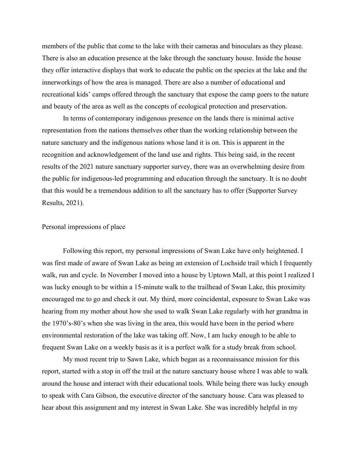members of the public that come to the lake with their cameras and binoculars as they please. There is also an education presence at the lake through the sanctuary house. Inside the house they offer interactive displays that work to educate the public on the species at the lake and the innerworkings of how the area is managed. There are also a number of educational and recreational kids' camps offered through the sanctuary that expose the camp goers to the nature and beauty of the area as well as the concepts of ecological protection and preservation.

In terms of contemporary indigenous presence on the lands there is minimal active representation from the nations themselves other than the working relationship between the nature sanctuary and the indigenous nations whose land it is on. This is apparent in the recognition and acknowledgement of the land use and rights. This being said, in the recent results of the 2021 nature sanctuary supporter survey, there was an overwhelming desire from the public for indigenous-led programming and education through the sanctuary. It is no doubt that this would be a tremendous addition to all the sanctuary has to offer (Supporter Survey Results, 2021).

## Personal impressions of place

Following this report, my personal impressions of Swan Lake have only heightened. I was first made of aware of Swan Lake as being an extension of Lochside trail which I frequently walk, run and cycle. In November I moved into a house by Uptown Mall, at this point I realized I was lucky enough to be within a 15-minute walk to the trailhead of Swan Lake, this proximity encouraged me to go and check it out. My third, more coincidental, exposure to Swan Lake was hearing from my mother about how she used to walk Swan Lake regularly with her grandma in the 1970's-80's when she was living in the area, this would have been in the period where environmental restoration of the lake was taking off. Now, I am lucky enough to be able to frequent Swan Lake on a weekly basis as it is a perfect walk for a study break from school.

My most recent trip to Sawn Lake, which began as a reconnaissance mission for this report, started with a stop in off the trail at the nature sanctuary house where I was able to walk around the house and interact with their educational tools. While being there was lucky enough to speak with Cara Gibson, the executive director of the sanctuary house. Cara was pleased to hear about this assignment and my interest in Swan Lake. She was incredibly helpful in my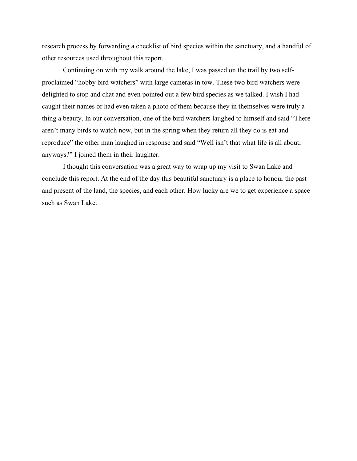research process by forwarding a checklist of bird species within the sanctuary, and a handful of other resources used throughout this report.

Continuing on with my walk around the lake, I was passed on the trail by two selfproclaimed "hobby bird watchers" with large cameras in tow. These two bird watchers were delighted to stop and chat and even pointed out a few bird species as we talked. I wish I had caught their names or had even taken a photo of them because they in themselves were truly a thing a beauty. In our conversation, one of the bird watchers laughed to himself and said "There aren't many birds to watch now, but in the spring when they return all they do is eat and reproduce" the other man laughed in response and said "Well isn't that what life is all about, anyways?" I joined them in their laughter.

I thought this conversation was a great way to wrap up my visit to Swan Lake and conclude this report. At the end of the day this beautiful sanctuary is a place to honour the past and present of the land, the species, and each other. How lucky are we to get experience a space such as Swan Lake.